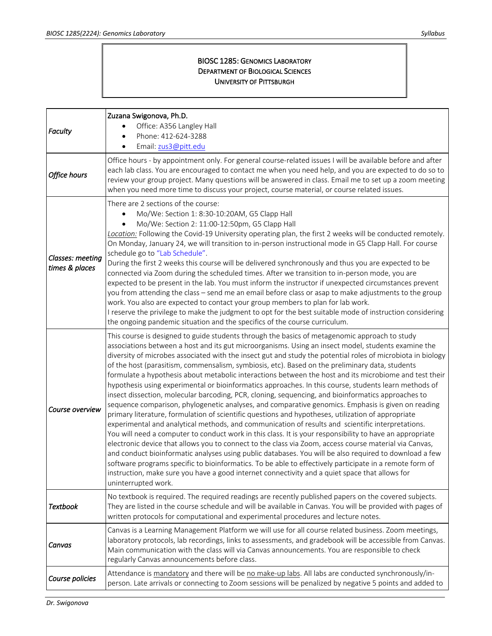## BIOSC 1285: GENOMICS LABORATORY DEPARTMENT OF BIOLOGICAL SCIENCES UNIVERSITY OF PITTSBURGH

| Faculty                            | Zuzana Swigonova, Ph.D.<br>Office: A356 Langley Hall<br>Phone: 412-624-3288<br>Email: zus3@pitt.edu                                                                                                                                                                                                                                                                                                                                                                                                                                                                                                                                                                                                                                                                                                                                                                                                                                                                                                                                                                                                                                                                                                                                                                                                                                                                                                                                                                                                                                                                                                                                  |
|------------------------------------|--------------------------------------------------------------------------------------------------------------------------------------------------------------------------------------------------------------------------------------------------------------------------------------------------------------------------------------------------------------------------------------------------------------------------------------------------------------------------------------------------------------------------------------------------------------------------------------------------------------------------------------------------------------------------------------------------------------------------------------------------------------------------------------------------------------------------------------------------------------------------------------------------------------------------------------------------------------------------------------------------------------------------------------------------------------------------------------------------------------------------------------------------------------------------------------------------------------------------------------------------------------------------------------------------------------------------------------------------------------------------------------------------------------------------------------------------------------------------------------------------------------------------------------------------------------------------------------------------------------------------------------|
| Office hours                       | Office hours - by appointment only. For general course-related issues I will be available before and after<br>each lab class. You are encouraged to contact me when you need help, and you are expected to do so to<br>review your group project. Many questions will be answered in class. Email me to set up a zoom meeting<br>when you need more time to discuss your project, course material, or course related issues.                                                                                                                                                                                                                                                                                                                                                                                                                                                                                                                                                                                                                                                                                                                                                                                                                                                                                                                                                                                                                                                                                                                                                                                                         |
| Classes: meeting<br>times & places | There are 2 sections of the course:<br>Mo/We: Section 1: 8:30-10:20AM, G5 Clapp Hall<br>Mo/We: Section 2: 11:00-12:50pm, G5 Clapp Hall<br>Location: Following the Covid-19 University operating plan, the first 2 weeks will be conducted remotely.<br>On Monday, January 24, we will transition to in-person instructional mode in G5 Clapp Hall. For course<br>schedule go to "Lab Schedule".<br>During the first 2 weeks this course will be delivered synchronously and thus you are expected to be<br>connected via Zoom during the scheduled times. After we transition to in-person mode, you are<br>expected to be present in the lab. You must inform the instructor if unexpected circumstances prevent<br>you from attending the class - send me an email before class or asap to make adjustments to the group<br>work. You also are expected to contact your group members to plan for lab work.<br>I reserve the privilege to make the judgment to opt for the best suitable mode of instruction considering<br>the ongoing pandemic situation and the specifics of the course curriculum.                                                                                                                                                                                                                                                                                                                                                                                                                                                                                                                             |
| Course overview                    | This course is designed to guide students through the basics of metagenomic approach to study<br>associations between a host and its gut microorganisms. Using an insect model, students examine the<br>diversity of microbes associated with the insect gut and study the potential roles of microbiota in biology<br>of the host (parasitism, commensalism, symbiosis, etc). Based on the preliminary data, students<br>formulate a hypothesis about metabolic interactions between the host and its microbiome and test their<br>hypothesis using experimental or bioinformatics approaches. In this course, students learn methods of<br>insect dissection, molecular barcoding, PCR, cloning, sequencing, and bioinformatics approaches to<br>sequence comparison, phylogenetic analyses, and comparative genomics. Emphasis is given on reading<br>primary literature, formulation of scientific questions and hypotheses, utilization of appropriate<br>experimental and analytical methods, and communication of results and scientific interpretations.<br>You will need a computer to conduct work in this class. It is your responsibility to have an appropriate<br>electronic device that allows you to connect to the class via Zoom, access course material via Canvas,<br>and conduct bioinformatic analyses using public databases. You will be also required to download a few<br>software programs specific to bioinformatics. To be able to effectively participate in a remote form of<br>instruction, make sure you have a good internet connectivity and a quiet space that allows for<br>uninterrupted work. |
| <b>Textbook</b>                    | No textbook is required. The required readings are recently published papers on the covered subjects.<br>They are listed in the course schedule and will be available in Canvas. You will be provided with pages of<br>written protocols for computational and experimental procedures and lecture notes.                                                                                                                                                                                                                                                                                                                                                                                                                                                                                                                                                                                                                                                                                                                                                                                                                                                                                                                                                                                                                                                                                                                                                                                                                                                                                                                            |
| Canvas                             | Canvas is a Learning Management Platform we will use for all course related business. Zoom meetings,<br>laboratory protocols, lab recordings, links to assessments, and gradebook will be accessible from Canvas.<br>Main communication with the class will via Canvas announcements. You are responsible to check<br>regularly Canvas announcements before class.                                                                                                                                                                                                                                                                                                                                                                                                                                                                                                                                                                                                                                                                                                                                                                                                                                                                                                                                                                                                                                                                                                                                                                                                                                                                   |
| Course policies                    | Attendance is mandatory and there will be no make-up labs. All labs are conducted synchronously/in-<br>person. Late arrivals or connecting to Zoom sessions will be penalized by negative 5 points and added to                                                                                                                                                                                                                                                                                                                                                                                                                                                                                                                                                                                                                                                                                                                                                                                                                                                                                                                                                                                                                                                                                                                                                                                                                                                                                                                                                                                                                      |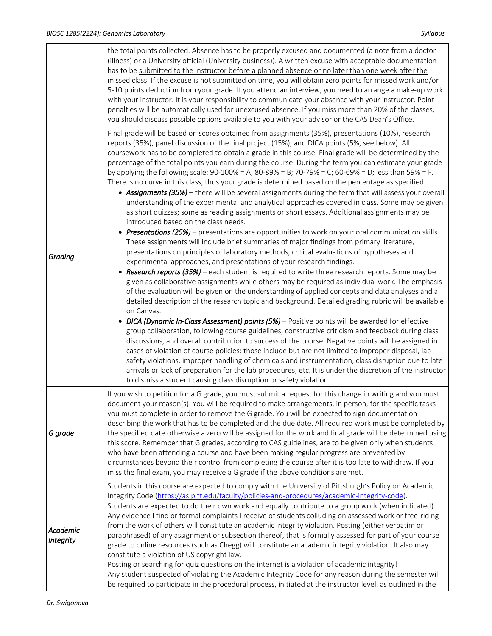|                       | the total points collected. Absence has to be properly excused and documented (a note from a doctor<br>(illness) or a University official (University business)). A written excuse with acceptable documentation<br>has to be submitted to the instructor before a planned absence or no later than one week after the<br>missed class. If the excuse is not submitted on time, you will obtain zero points for missed work and/or<br>5-10 points deduction from your grade. If you attend an interview, you need to arrange a make-up work<br>with your instructor. It is your responsibility to communicate your absence with your instructor. Point<br>penalties will be automatically used for unexcused absence. If you miss more than 20% of the classes,<br>you should discuss possible options available to you with your advisor or the CAS Dean's Office.                                                                                                                                                                                                                                                                                                                                                                                                                                                                                                                                                                                                                                                                                                                                                                                                                                                                                                                                                                                                                                                                                                                                                                                                                                                                                                                                                                                                                                                                                                                                                                                                                                                                      |
|-----------------------|------------------------------------------------------------------------------------------------------------------------------------------------------------------------------------------------------------------------------------------------------------------------------------------------------------------------------------------------------------------------------------------------------------------------------------------------------------------------------------------------------------------------------------------------------------------------------------------------------------------------------------------------------------------------------------------------------------------------------------------------------------------------------------------------------------------------------------------------------------------------------------------------------------------------------------------------------------------------------------------------------------------------------------------------------------------------------------------------------------------------------------------------------------------------------------------------------------------------------------------------------------------------------------------------------------------------------------------------------------------------------------------------------------------------------------------------------------------------------------------------------------------------------------------------------------------------------------------------------------------------------------------------------------------------------------------------------------------------------------------------------------------------------------------------------------------------------------------------------------------------------------------------------------------------------------------------------------------------------------------------------------------------------------------------------------------------------------------------------------------------------------------------------------------------------------------------------------------------------------------------------------------------------------------------------------------------------------------------------------------------------------------------------------------------------------------------------------------------------------------------------------------------------------------|
| Grading               | Final grade will be based on scores obtained from assignments (35%), presentations (10%), research<br>reports (35%), panel discussion of the final project (15%), and DICA points (5%, see below). All<br>coursework has to be completed to obtain a grade in this course. Final grade will be determined by the<br>percentage of the total points you earn during the course. During the term you can estimate your grade<br>by applying the following scale: $90-100\% = A$ ; $80-89\% = B$ ; $70-79\% = C$ ; $60-69\% = D$ ; less than 59% = F.<br>There is no curve in this class, thus your grade is determined based on the percentage as specified.<br>• Assignments (35%) - there will be several assignments during the term that will assess your overall<br>understanding of the experimental and analytical approaches covered in class. Some may be given<br>as short quizzes; some as reading assignments or short essays. Additional assignments may be<br>introduced based on the class needs.<br>• Presentations (25%) – presentations are opportunities to work on your oral communication skills.<br>These assignments will include brief summaries of major findings from primary literature,<br>presentations on principles of laboratory methods, critical evaluations of hypotheses and<br>experimental approaches, and presentations of your research findings.<br>• Research reports (35%) - each student is required to write three research reports. Some may be<br>given as collaborative assignments while others may be required as individual work. The emphasis<br>of the evaluation will be given on the understanding of applied concepts and data analyses and a<br>detailed description of the research topic and background. Detailed grading rubric will be available<br>on Canvas.<br>DICA (Dynamic In-Class Assessment) points (5%) - Positive points will be awarded for effective<br>group collaboration, following course guidelines, constructive criticism and feedback during class<br>discussions, and overall contribution to success of the course. Negative points will be assigned in<br>cases of violation of course policies: those include but are not limited to improper disposal, lab<br>safety violations, improper handling of chemicals and instrumentation, class disruption due to late<br>arrivals or lack of preparation for the lab procedures; etc. It is under the discretion of the instructor<br>to dismiss a student causing class disruption or safety violation. |
| G grade               | If you wish to petition for a G grade, you must submit a request for this change in writing and you must<br>document your reason(s). You will be required to make arrangements, in person, for the specific tasks<br>you must complete in order to remove the G grade. You will be expected to sign documentation<br>describing the work that has to be completed and the due date. All required work must be completed by<br>the specified date otherwise a zero will be assigned for the work and final grade will be determined using<br>this score. Remember that G grades, according to CAS guidelines, are to be given only when students<br>who have been attending a course and have been making regular progress are prevented by<br>circumstances beyond their control from completing the course after it is too late to withdraw. If you<br>miss the final exam, you may receive a G grade if the above conditions are met.                                                                                                                                                                                                                                                                                                                                                                                                                                                                                                                                                                                                                                                                                                                                                                                                                                                                                                                                                                                                                                                                                                                                                                                                                                                                                                                                                                                                                                                                                                                                                                                                  |
| Academic<br>Integrity | Students in this course are expected to comply with the University of Pittsburgh's Policy on Academic<br>Integrity Code (https://as.pitt.edu/faculty/policies-and-procedures/academic-integrity-code).<br>Students are expected to do their own work and equally contribute to a group work (when indicated).<br>Any evidence I find or formal complaints I receive of students colluding on assessed work or free-riding<br>from the work of others will constitute an academic integrity violation. Posting (either verbatim or<br>paraphrased) of any assignment or subsection thereof, that is formally assessed for part of your course<br>grade to online resources (such as Chegg) will constitute an academic integrity violation. It also may<br>constitute a violation of US copyright law.<br>Posting or searching for quiz questions on the internet is a violation of academic integrity!<br>Any student suspected of violating the Academic Integrity Code for any reason during the semester will<br>be required to participate in the procedural process, initiated at the instructor level, as outlined in the                                                                                                                                                                                                                                                                                                                                                                                                                                                                                                                                                                                                                                                                                                                                                                                                                                                                                                                                                                                                                                                                                                                                                                                                                                                                                                                                                                                                          |